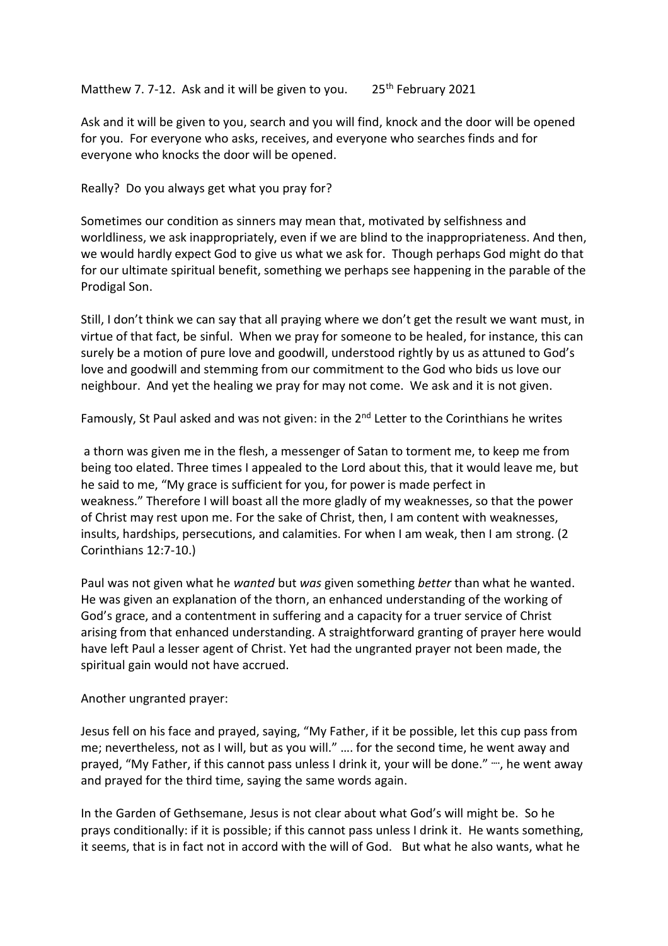Matthew 7. 7-12. Ask and it will be given to you.  $25<sup>th</sup>$  February 2021

Ask and it will be given to you, search and you will find, knock and the door will be opened for you. For everyone who asks, receives, and everyone who searches finds and for everyone who knocks the door will be opened.

Really? Do you always get what you pray for?

Sometimes our condition as sinners may mean that, motivated by selfishness and worldliness, we ask inappropriately, even if we are blind to the inappropriateness. And then, we would hardly expect God to give us what we ask for. Though perhaps God might do that for our ultimate spiritual benefit, something we perhaps see happening in the parable of the Prodigal Son.

Still, I don't think we can say that all praying where we don't get the result we want must, in virtue of that fact, be sinful. When we pray for someone to be healed, for instance, this can surely be a motion of pure love and goodwill, understood rightly by us as attuned to God's love and goodwill and stemming from our commitment to the God who bids us love our neighbour. And yet the healing we pray for may not come. We ask and it is not given.

Famously, St Paul asked and was not given: in the  $2^{nd}$  Letter to the Corinthians he writes

a thorn was given me in the flesh, a messenger of Satan to torment me, to keep me from being too elated. Three times I appealed to the Lord about this, that it would leave me, but he said to me, "My grace is sufficient for you, for power is made perfect in weakness." Therefore I will boast all the more gladly of my weaknesses, so that the power of Christ may rest upon me. For the sake of Christ, then, I am content with weaknesses, insults, hardships, persecutions, and calamities. For when I am weak, then I am strong. (2 Corinthians 12:7-10.)

Paul was not given what he *wanted* but *was* given something *better* than what he wanted. He was given an explanation of the thorn, an enhanced understanding of the working of God's grace, and a contentment in suffering and a capacity for a truer service of Christ arising from that enhanced understanding. A straightforward granting of prayer here would have left Paul a lesser agent of Christ. Yet had the ungranted prayer not been made, the spiritual gain would not have accrued.

Another ungranted prayer:

Jesus fell on his face and prayed, saying, "My Father, if it be possible, let this cup pass from me; nevertheless, not as I will, but as you will." …. for the second time, he went away and prayed, "My Father, if this cannot pass unless I drink it, your will be done." **….**, he went away and prayed for the third time, saying the same words again.

In the Garden of Gethsemane, Jesus is not clear about what God's will might be. So he prays conditionally: if it is possible; if this cannot pass unless I drink it. He wants something, it seems, that is in fact not in accord with the will of God. But what he also wants, what he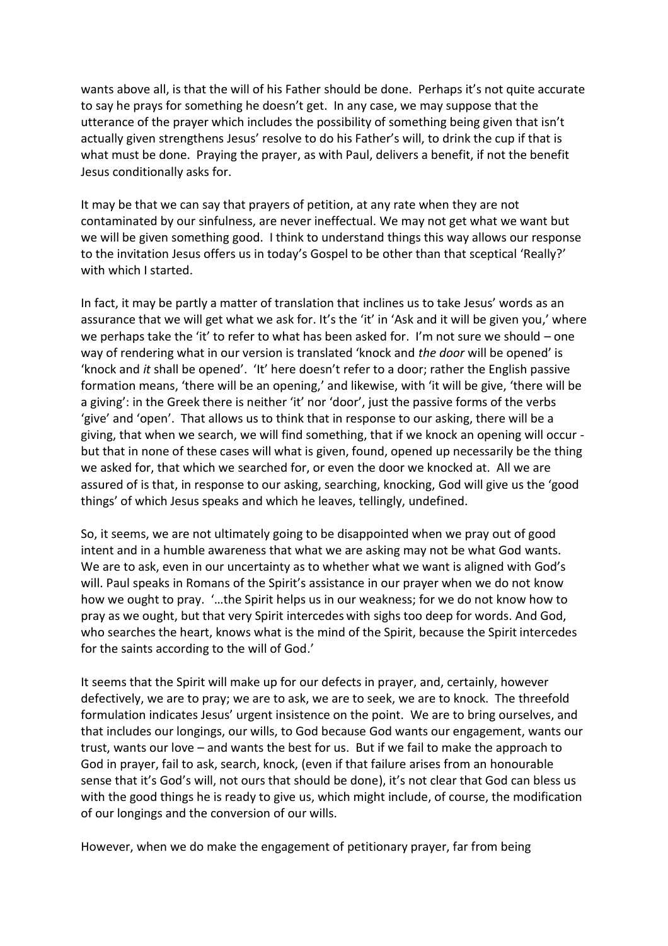wants above all, is that the will of his Father should be done. Perhaps it's not quite accurate to say he prays for something he doesn't get. In any case, we may suppose that the utterance of the prayer which includes the possibility of something being given that isn't actually given strengthens Jesus' resolve to do his Father's will, to drink the cup if that is what must be done. Praying the prayer, as with Paul, delivers a benefit, if not the benefit Jesus conditionally asks for.

It may be that we can say that prayers of petition, at any rate when they are not contaminated by our sinfulness, are never ineffectual. We may not get what we want but we will be given something good. I think to understand things this way allows our response to the invitation Jesus offers us in today's Gospel to be other than that sceptical 'Really?' with which I started.

In fact, it may be partly a matter of translation that inclines us to take Jesus' words as an assurance that we will get what we ask for. It's the 'it' in 'Ask and it will be given you,' where we perhaps take the 'it' to refer to what has been asked for. I'm not sure we should – one way of rendering what in our version is translated 'knock and *the door* will be opened' is 'knock and *it* shall be opened'. 'It' here doesn't refer to a door; rather the English passive formation means, 'there will be an opening,' and likewise, with 'it will be give, 'there will be a giving': in the Greek there is neither 'it' nor 'door', just the passive forms of the verbs 'give' and 'open'. That allows us to think that in response to our asking, there will be a giving, that when we search, we will find something, that if we knock an opening will occur but that in none of these cases will what is given, found, opened up necessarily be the thing we asked for, that which we searched for, or even the door we knocked at. All we are assured of is that, in response to our asking, searching, knocking, God will give us the 'good things' of which Jesus speaks and which he leaves, tellingly, undefined.

So, it seems, we are not ultimately going to be disappointed when we pray out of good intent and in a humble awareness that what we are asking may not be what God wants. We are to ask, even in our uncertainty as to whether what we want is aligned with God's will. Paul speaks in Romans of the Spirit's assistance in our prayer when we do not know how we ought to pray. '…the Spirit helps us in our weakness; for we do not know how to pray as we ought, but that very Spirit intercedes with sighs too deep for words. And God, who searches the heart, knows what is the mind of the Spirit, because the Spirit intercedes for the saints according to the will of God.'

It seems that the Spirit will make up for our defects in prayer, and, certainly, however defectively, we are to pray; we are to ask, we are to seek, we are to knock. The threefold formulation indicates Jesus' urgent insistence on the point. We are to bring ourselves, and that includes our longings, our wills, to God because God wants our engagement, wants our trust, wants our love – and wants the best for us. But if we fail to make the approach to God in prayer, fail to ask, search, knock, (even if that failure arises from an honourable sense that it's God's will, not ours that should be done), it's not clear that God can bless us with the good things he is ready to give us, which might include, of course, the modification of our longings and the conversion of our wills.

However, when we do make the engagement of petitionary prayer, far from being